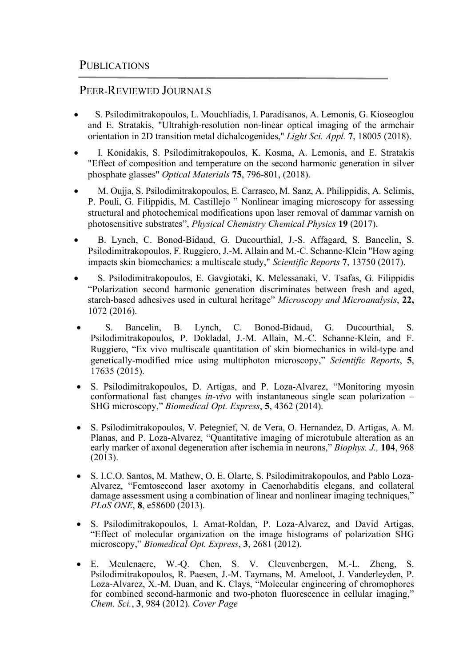## PEER-REVIEWED JOURNALS

- S. Psilodimitrakopoulos, L. Mouchliadis, I. Paradisanos, A. Lemonis, G. Kioseoglou and E. Stratakis, "Ultrahigh-resolution non-linear optical imaging of the armchair orientation in 2D transition metal dichalcogenides," *Light Sci. Appl.* **7**, 18005 (2018).
- I. Konidakis, S. Psilodimitrakopoulos, K. Kosma, A. Lemonis, and E. Stratakis "Effect of composition and temperature on the second harmonic generation in silver phosphate glasses" *Optical Materials* **75**, 796-801, (2018).
- M. Oujja, S. Psilodimitrakopoulos, E. Carrasco, M. Sanz, A. Philippidis, A. Selimis, P. Pouli, G. Filippidis, M. Castillejo " Nonlinear imaging microscopy for assessing structural and photochemical modifications upon laser removal of dammar varnish on photosensitive substrates", *Physical Chemistry Chemical Physics* **19** (2017).
- B. Lynch, C. Bonod-Bidaud, G. Ducourthial, J.-S. Affagard, S. Bancelin, S. Psilodimitrakopoulos, F. Ruggiero, J.-M. Allain and M.-C. Schanne-Klein "How aging impacts skin biomechanics: a multiscale study," *Scientific Reports* **7**, 13750 (2017).
- S. Psilodimitrakopoulos, E. Gavgiotaki, K. Melessanaki, V. Tsafas, G. Filippidis "Polarization second harmonic generation discriminates between fresh and aged, starch-based adhesives used in cultural heritage" *Microscopy and Microanalysis*, **22,**  1072 (2016).
- S. Bancelin, B. Lynch, C. Bonod-Bidaud, G. Ducourthial, S. Psilodimitrakopoulos, P. Dokladal, J.-M. Allain, M.-C. Schanne-Klein, and F. Ruggiero, "Ex vivo multiscale quantitation of skin biomechanics in wild-type and genetically-modified mice using multiphoton microscopy," *Scientific Reports*, **5**, 17635 (2015).
- S. Psilodimitrakopoulos, D. Artigas, and P. Loza-Alvarez, "Monitoring myosin conformational fast changes *in-vivo* with instantaneous single scan polarization – SHG microscopy," *Biomedical Opt. Express*, **5**, 4362 (2014).
- S. Psilodimitrakopoulos, V. Petegnief, N. de Vera, O. Hernandez, D. Artigas, A. M. Planas, and P. Loza-Alvarez, "Quantitative imaging of microtubule alteration as an early marker of axonal degeneration after ischemia in neurons," *Biophys. J.,* **104**, 968  $(2013).$
- S. I.C.O. Santos, M. Mathew, O. E. Olarte, S. Psilodimitrakopoulos, and Pablo Loza-Alvarez, "Femtosecond laser axotomy in Caenorhabditis elegans, and collateral damage assessment using a combination of linear and nonlinear imaging techniques," *PLoS ONE*, **8**, e58600 (2013).
- S. Psilodimitrakopoulos, I. Amat-Roldan, P. Loza-Alvarez, and David Artigas, "Effect of molecular organization on the image histograms of polarization SHG microscopy," *Biomedical Opt. Express*, **3**, 2681 (2012).
- E. Meulenaere, W.-Q. Chen, S. V. Cleuvenbergen, M.-L. Zheng, S. Psilodimitrakopoulos, R. Paesen, J.-M. Taymans, M. Ameloot, J. Vanderleyden, P. Loza-Alvarez, X.-M. Duan, and K. Clays, "Molecular engineering of chromophores for combined second-harmonic and two-photon fluorescence in cellular imaging," *Chem. Sci.*, **3**, 984 (2012). *Cover Page*